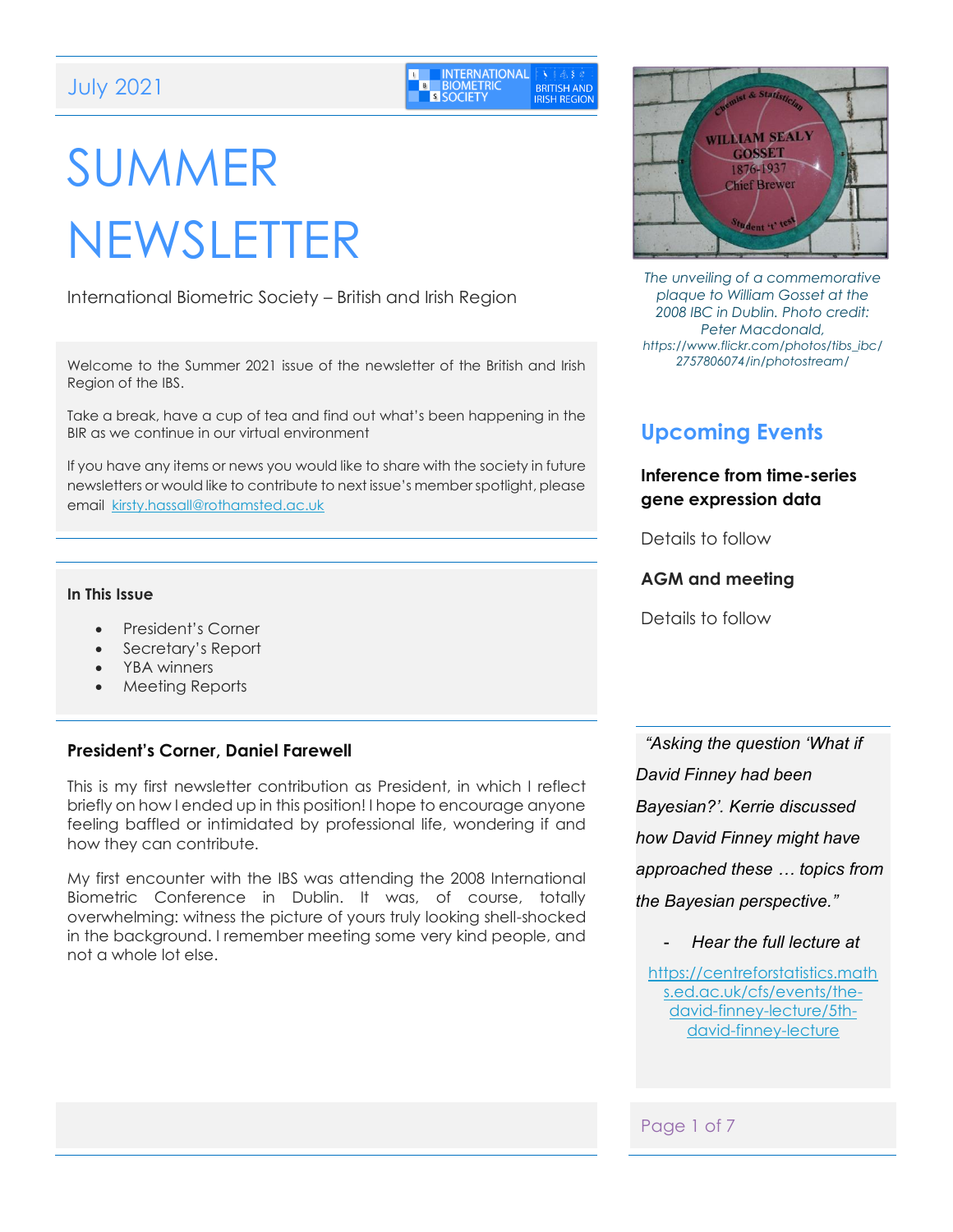| l u | <b>INTERNATIONAL</b> EX 8 & 8 &      |                                           |
|-----|--------------------------------------|-------------------------------------------|
| B   | <b>BIOMETRIC</b><br><b>S SOCIETY</b> | <b>BRITISH AND</b><br><b>IRISH REGION</b> |

# SUMMER NEWSLETTER

International Biometric Society – British and Irish Region

Welcome to the Summer 2021 issue of the newsletter of the British and Irish Region of the IBS.

Take a break, have a cup of tea and find out what's been happening in the BIR as we continue in our virtual environment

If you have any items or news you would like to share with the society in future newsletters or would like to contribute to next issue's member spotlight, please email [kirsty.hassall@rothamsted.ac.uk](mailto:kirsty.hassall@rothamsted.ac.uk)

#### **In This Issue**

- President's Corner
- Secretary's Report
- YBA winners
- Meeting Reports

#### **President's Corner, Daniel Farewell**

This is my first newsletter contribution as President, in which I reflect briefly on how I ended up in this position! I hope to encourage anyone feeling baffled or intimidated by professional life, wondering if and how they can contribute.

My first encounter with the IBS was attending the 2008 International Biometric Conference in Dublin. It was, of course, totally overwhelming: witness the picture of yours truly looking shell-shocked in the background. I remember meeting some very kind people, and not a whole lot else.



*The unveiling of a commemorative plaque to William Gosset at the 2008 IBC in Dublin. Photo credit: Peter Macdonald, https://www.flickr.com/photos/tibs\_ibc/ 2757806074/in/photostream/*

# **Upcoming Events**

#### **Inference from time-series gene expression data**

Details to follow

#### **AGM and meeting**

Details to follow

*"Asking the question 'What if David Finney had been Bayesian?'. Kerrie discussed how David Finney might have approached these … topics from the Bayesian perspective."*

- *Hear the full lecture at*

[https://centreforstatistics.math](https://centreforstatistics.maths.ed.ac.uk/cfs/events/the-david-finney-lecture/5th-david-finney-lecture) [s.ed.ac.uk/cfs/events/the](https://centreforstatistics.maths.ed.ac.uk/cfs/events/the-david-finney-lecture/5th-david-finney-lecture)[david-finney-lecture/5th](https://centreforstatistics.maths.ed.ac.uk/cfs/events/the-david-finney-lecture/5th-david-finney-lecture)[david-finney-lecture](https://centreforstatistics.maths.ed.ac.uk/cfs/events/the-david-finney-lecture/5th-david-finney-lecture)

#### Page 1 of 7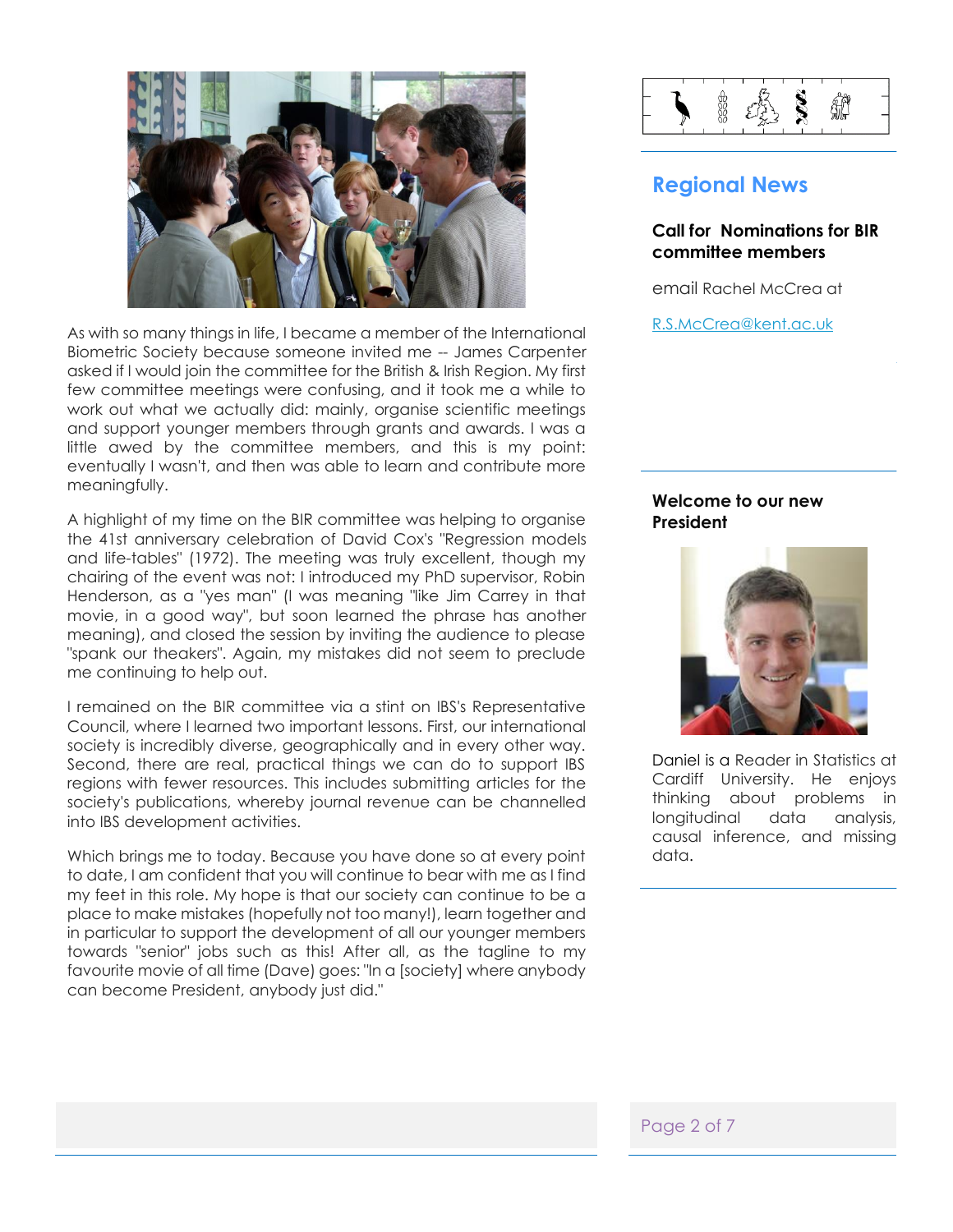

As with so many things in life, I became a member of the International Biometric Society because someone invited me -- James Carpenter asked if I would join the committee for the British & Irish Region. My first few committee meetings were confusing, and it took me a while to work out what we actually did: mainly, organise scientific meetings and support younger members through grants and awards. I was a little awed by the committee members, and this is my point: eventually I wasn't, and then was able to learn and contribute more meaningfully.

A highlight of my time on the BIR committee was helping to organise the 41st anniversary celebration of David Cox's "Regression models and life-tables" (1972). The meeting was truly excellent, though my chairing of the event was not: I introduced my PhD supervisor, Robin Henderson, as a "yes man" (I was meaning "like Jim Carrey in that movie, in a good way", but soon learned the phrase has another meaning), and closed the session by inviting the audience to please "spank our theakers". Again, my mistakes did not seem to preclude me continuing to help out.

I remained on the BIR committee via a stint on IBS's Representative Council, where I learned two important lessons. First, our international society is incredibly diverse, geographically and in every other way. Second, there are real, practical things we can do to support IBS regions with fewer resources. This includes submitting articles for the society's publications, whereby journal revenue can be channelled into IBS development activities.

Which brings me to today. Because you have done so at every point to date, I am confident that you will continue to bear with me as I find my feet in this role. My hope is that our society can continue to be a place to make mistakes (hopefully not too many!), learn together and in particular to support the development of all our younger members towards "senior" jobs such as this! After all, as the tagline to my favourite movie of all time (Dave) goes: "In a [society] where anybody can become President, anybody just did."



### **Regional News**

#### **[Call for](#page-2-0) Nominations for BIR committee members**

email Rachel McCrea at

[R.S.McCrea@kent.ac.uk](mailto:R.S.McCrea@kent.ac.uk)

#### **Welcome to our new President**



Daniel is a Reader in Statistics at Cardiff University. He enjoys thinking about problems in longitudinal data analysis, causal inference, and missing data.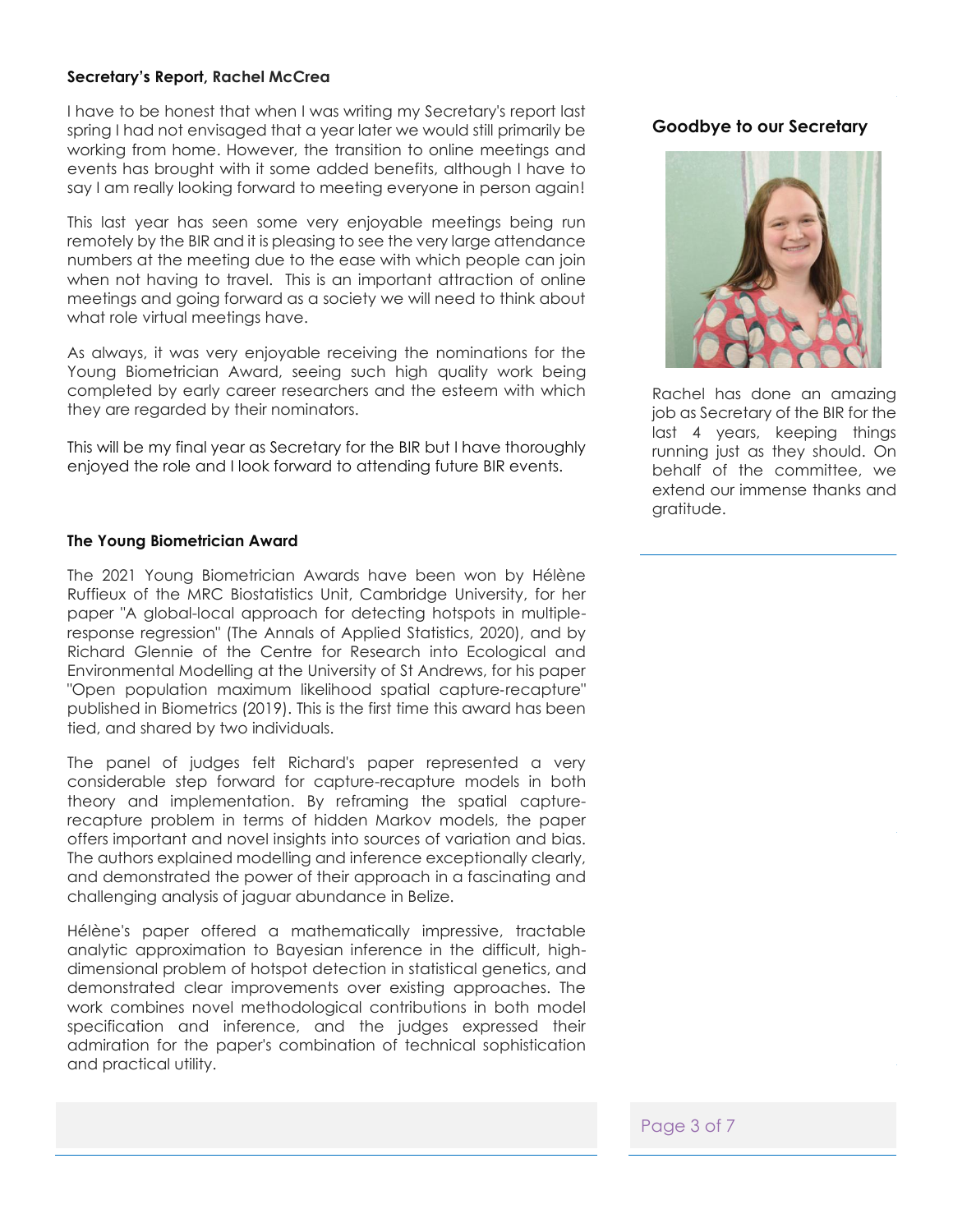#### **Secretary's Report, Rachel McCrea**

I have to be honest that when I was writing my Secretary's report last spring I had not envisaged that a year later we would still primarily be working from home. However, the transition to online meetings and events has brought with it some added benefits, although I have to say I am really looking forward to meeting everyone in person again!

This last year has seen some very enjoyable meetings being run remotely by the BIR and it is pleasing to see the very large attendance numbers at the meeting due to the ease with which people can join when not having to travel. This is an important attraction of online meetings and going forward as a society we will need to think about what role virtual meetings have.

As always, it was very enjoyable receiving the nominations for the Young Biometrician Award, seeing such high quality work being completed by early career researchers and the esteem with which they are regarded by their nominators.

This will be my final year as Secretary for the BIR but I have thoroughly enjoyed the role and I look forward to attending future BIR events.

#### <span id="page-2-0"></span>**The Young Biometrician Award**

The 2021 Young Biometrician Awards have been won by Hélène Ruffieux of the MRC Biostatistics Unit, Cambridge University, for her paper "A global-local approach for detecting hotspots in multipleresponse regression" (The Annals of Applied Statistics, 2020), and by Richard Glennie of the Centre for Research into Ecological and Environmental Modelling at the University of St Andrews, for his paper "Open population maximum likelihood spatial capture‐recapture" published in Biometrics (2019). This is the first time this award has been tied, and shared by two individuals.

The panel of judges felt Richard's paper represented a very considerable step forward for capture-recapture models in both theory and implementation. By reframing the spatial capturerecapture problem in terms of hidden Markov models, the paper offers important and novel insights into sources of variation and bias. The authors explained modelling and inference exceptionally clearly, and demonstrated the power of their approach in a fascinating and challenging analysis of jaguar abundance in Belize.

Hélène's paper offered a mathematically impressive, tractable analytic approximation to Bayesian inference in the difficult, highdimensional problem of hotspot detection in statistical genetics, and demonstrated clear improvements over existing approaches. The work combines novel methodological contributions in both model specification and inference, and the judges expressed their admiration for the paper's combination of technical sophistication and practical utility.

# **José Pinheiro to be new Goodbye to our Secretary**



Rachel has done an amazing job as Secretary of the BIR for the last 4 years, keeping things running just as they should. On behalf of the committee, we extend our immense thanks and gratitude.

Page 3 of 7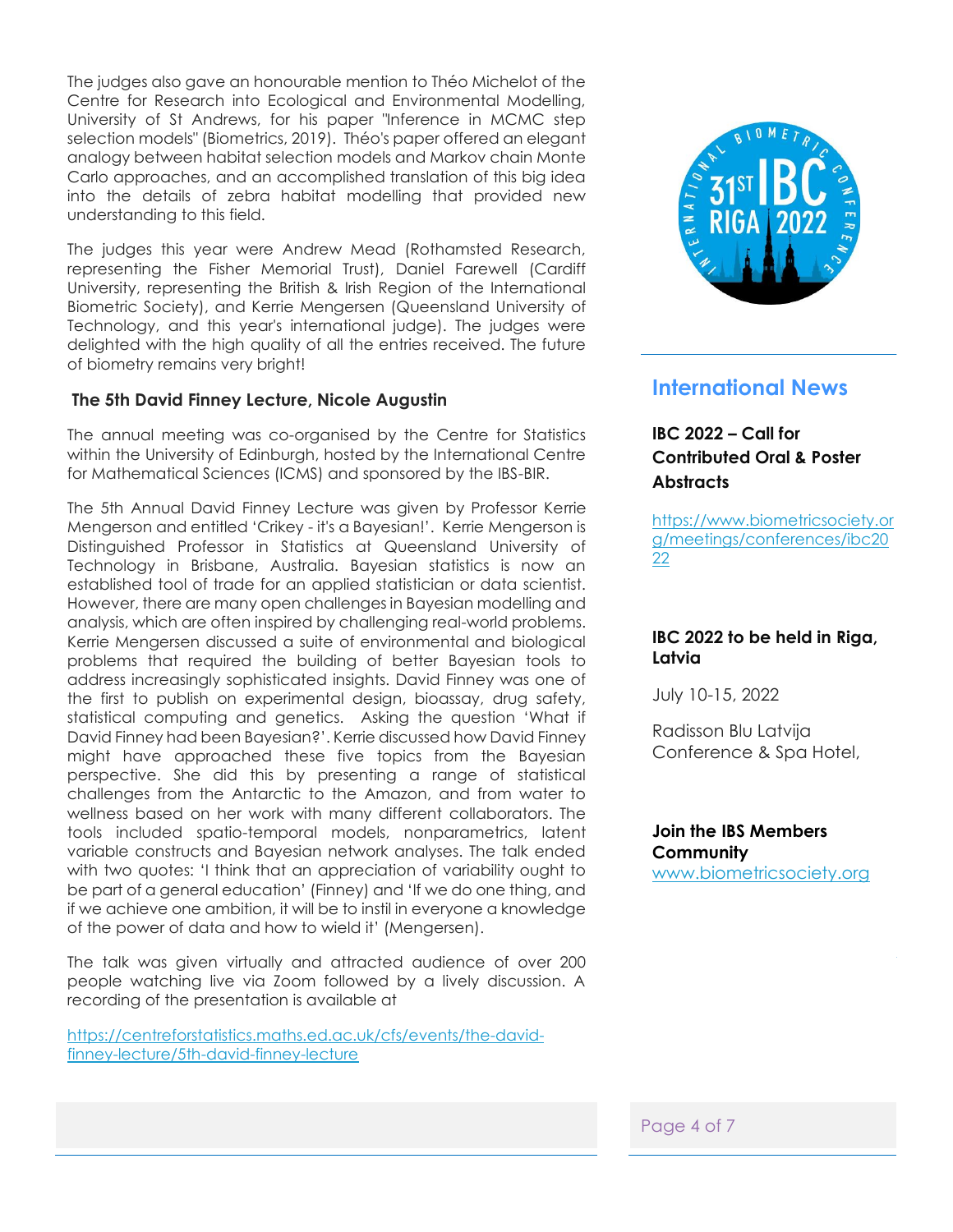The judges also gave an honourable mention to Théo Michelot of the Centre for Research into Ecological and Environmental Modelling, University of St Andrews, for his paper "Inference in MCMC step selection models" (Biometrics, 2019). Théo's paper offered an elegant analogy between habitat selection models and Markov chain Monte Carlo approaches, and an accomplished translation of this big idea into the details of zebra habitat modelling that provided new understanding to this field.

The judges this year were Andrew Mead (Rothamsted Research, representing the Fisher Memorial Trust), Daniel Farewell (Cardiff University, representing the British & Irish Region of the International Biometric Society), and Kerrie Mengersen (Queensland University of Technology, and this year's international judge). The judges were delighted with the high quality of all the entries received. The future of biometry remains very bright!

#### **The 5th David Finney Lecture, Nicole Augustin**

The annual meeting was co-organised by the Centre for Statistics within the University of Edinburgh, hosted by the International Centre for Mathematical Sciences (ICMS) and sponsored by the IBS-BIR.

The 5th Annual David Finney Lecture was given by Professor Kerrie Mengerson and entitled 'Crikey - it's a Bayesian!'. Kerrie Mengerson is Distinguished Professor in Statistics at Queensland University of Technology in Brisbane, Australia. Bayesian statistics is now an established tool of trade for an applied statistician or data scientist. However, there are many open challenges in Bayesian modelling and analysis, which are often inspired by challenging real-world problems. Kerrie Mengersen discussed a suite of environmental and biological problems that required the building of better Bayesian tools to address increasingly sophisticated insights. David Finney was one of the first to publish on experimental design, bioassay, drug safety, statistical computing and genetics. Asking the question 'What if David Finney had been Bayesian?'. Kerrie discussed how David Finney might have approached these five topics from the Bayesian perspective. She did this by presenting a range of statistical challenges from the Antarctic to the Amazon, and from water to wellness based on her work with many different collaborators. The tools included spatio-temporal models, nonparametrics, latent variable constructs and Bayesian network analyses. The talk ended with two quotes: 'I think that an appreciation of variability ought to be part of a general education' (Finney) and 'If we do one thing, and if we achieve one ambition, it will be to instil in everyone a knowledge of the power of data and how to wield it' (Mengersen).

The talk was given virtually and attracted audience of over 200 people watching live via Zoom followed by a lively discussion. A recording of the presentation is available at

[https://centreforstatistics.maths.ed.ac.uk/cfs/events/the-david](https://centreforstatistics.maths.ed.ac.uk/cfs/events/the-david-finney-lecture/5th-david-finney-lecture)[finney-lecture/5th-david-finney-lecture](https://centreforstatistics.maths.ed.ac.uk/cfs/events/the-david-finney-lecture/5th-david-finney-lecture)



## **International News**

#### **IBC 2022 – Call for Contributed Oral & Poster Abstracts**

[https://www.biometricsociety.or](https://www.biometricsociety.org/meetings/conferences/ibc2022) [g/meetings/conferences/ibc20](https://www.biometricsociety.org/meetings/conferences/ibc2022) [22](https://www.biometricsociety.org/meetings/conferences/ibc2022)

#### **IBC 2022 to be held in Riga, Latvia**

July 10-15, 2022

Radisson Blu Latvija Conference & Spa Hotel,

**[Join](#page-2-0) the IBS Members Community**  [www.biometricsociety.org](http://www.biometricsociety.org/)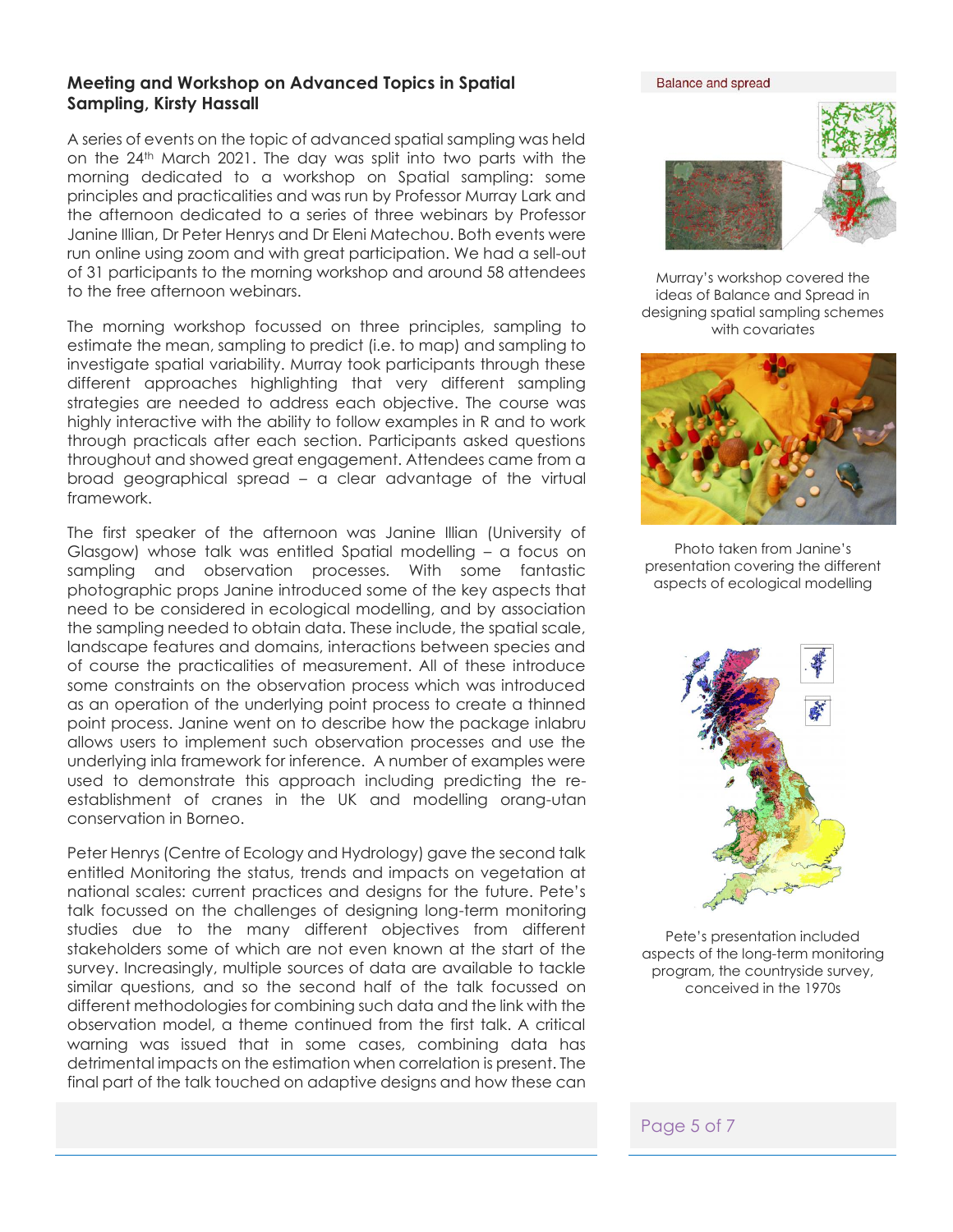#### **Meeting and Workshop on Advanced Topics in Spatial Sampling, Kirsty Hassall**

A series of events on the topic of advanced spatial sampling was held on the 24th March 2021. The day was split into two parts with the morning dedicated to a workshop on Spatial sampling: some principles and practicalities and was run by Professor Murray Lark and the afternoon dedicated to a series of three webinars by Professor Janine Illian, Dr Peter Henrys and Dr Eleni Matechou. Both events were run online using zoom and with great participation. We had a sell-out of 31 participants to the morning workshop and around 58 attendees to the free afternoon webinars.

The morning workshop focussed on three principles, sampling to estimate the mean, sampling to predict (i.e. to map) and sampling to investigate spatial variability. Murray took participants through these different approaches highlighting that very different sampling strategies are needed to address each objective. The course was highly interactive with the ability to follow examples in R and to work through practicals after each section. Participants asked questions throughout and showed great engagement. Attendees came from a broad geographical spread – a clear advantage of the virtual framework.

The first speaker of the afternoon was Janine Illian (University of Glasgow) whose talk was entitled Spatial modelling – a focus on sampling and observation processes. With some fantastic photographic props Janine introduced some of the key aspects that need to be considered in ecological modelling, and by association the sampling needed to obtain data. These include, the spatial scale, landscape features and domains, interactions between species and of course the practicalities of measurement. All of these introduce some constraints on the observation process which was introduced as an operation of the underlying point process to create a thinned point process. Janine went on to describe how the package inlabru allows users to implement such observation processes and use the underlying inla framework for inference. A number of examples were used to demonstrate this approach including predicting the reestablishment of cranes in the UK and modelling orang-utan conservation in Borneo.

Peter Henrys (Centre of Ecology and Hydrology) gave the second talk entitled Monitoring the status, trends and impacts on vegetation at national scales: current practices and designs for the future. Pete's talk focussed on the challenges of designing long-term monitoring studies due to the many different objectives from different stakeholders some of which are not even known at the start of the survey. Increasingly, multiple sources of data are available to tackle similar questions, and so the second half of the talk focussed on different methodologies for combining such data and the link with the observation model, a theme continued from the first talk. A critical warning was issued that in some cases, combining data has detrimental impacts on the estimation when correlation is present. The final part of the talk touched on adaptive designs and how these can

**Balance and spread** 



Murray's workshop covered the ideas of Balance and Spread in designing spatial sampling schemes with covariates



Photo taken from Janine's presentation covering the different aspects of ecological modelling



Pete's presentation included aspects of the long-term monitoring program, the countryside survey, conceived in the 1970s

#### Page 5 of 7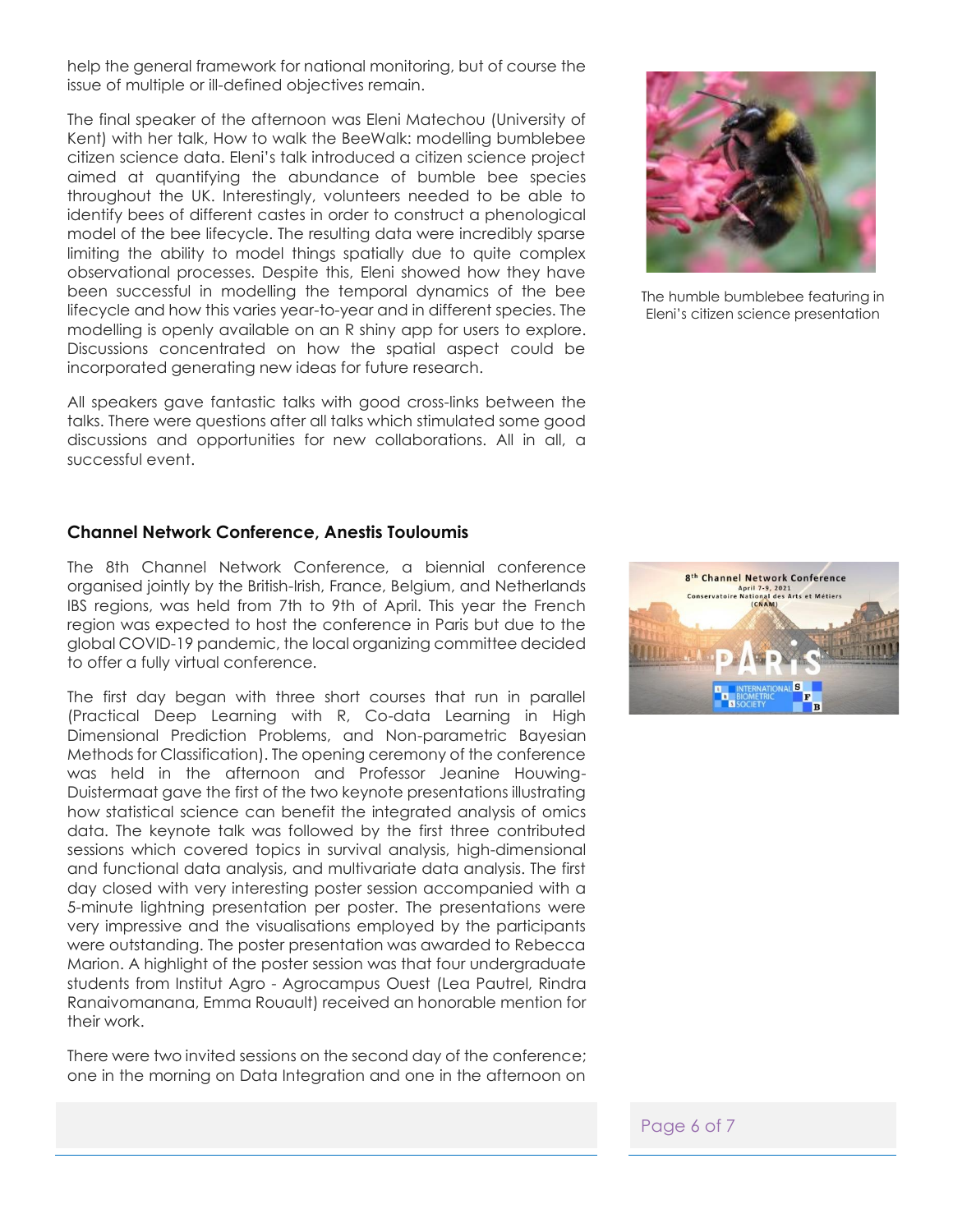help the general framework for national monitoring, but of course the issue of multiple or ill-defined objectives remain.

The final speaker of the afternoon was Eleni Matechou (University of Kent) with her talk, How to walk the BeeWalk: modelling bumblebee citizen science data. Eleni's talk introduced a citizen science project aimed at quantifying the abundance of bumble bee species throughout the UK. Interestingly, volunteers needed to be able to identify bees of different castes in order to construct a phenological model of the bee lifecycle. The resulting data were incredibly sparse limiting the ability to model things spatially due to quite complex observational processes. Despite this, Eleni showed how they have been successful in modelling the temporal dynamics of the bee lifecycle and how this varies year-to-year and in different species. The modelling is openly available on an R shiny app for users to explore. Discussions concentrated on how the spatial aspect could be incorporated generating new ideas for future research.

All speakers gave fantastic talks with good cross-links between the talks. There were questions after all talks which stimulated some good discussions and opportunities for new collaborations. All in all, a successful event.

#### **Channel Network Conference, Anestis Touloumis**

The 8th Channel Network Conference, a biennial conference organised jointly by the British-Irish, France, Belgium, and Netherlands IBS regions, was held from 7th to 9th of April. This year the French region was expected to host the conference in Paris but due to the global COVID-19 pandemic, the local organizing committee decided to offer a fully virtual conference.

The first day began with three short courses that run in parallel (Practical Deep Learning with R, Co-data Learning in High Dimensional Prediction Problems, and Non-parametric Bayesian Methods for Classification). The opening ceremony of the conference was held in the afternoon and Professor Jeanine Houwing-Duistermaat gave the first of the two keynote presentations illustrating how statistical science can benefit the integrated analysis of omics data. The keynote talk was followed by the first three contributed sessions which covered topics in survival analysis, high-dimensional and functional data analysis, and multivariate data analysis. The first day closed with very interesting poster session accompanied with a 5-minute lightning presentation per poster. The presentations were very impressive and the visualisations employed by the participants were outstanding. The poster presentation was awarded to Rebecca Marion. A highlight of the poster session was that four undergraduate students from Institut Agro - Agrocampus Ouest (Lea Pautrel, Rindra Ranaivomanana, Emma Rouault) received an honorable mention for their work.

There were two invited sessions on the second day of the conference; one in the morning on Data Integration and one in the afternoon on



The humble bumblebee featuring in Eleni's citizen science presentation